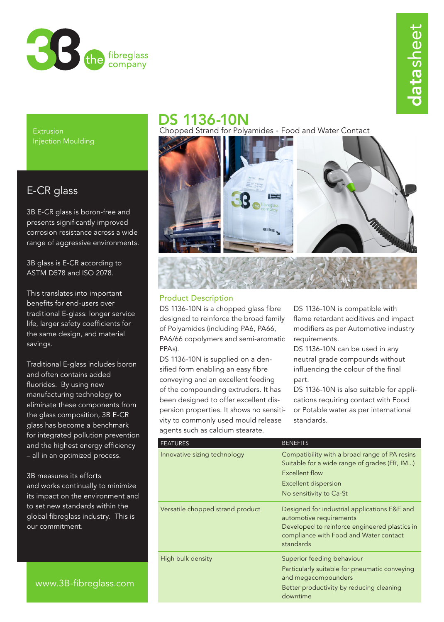

Extrusion Injection Moulding

# E-CR glass

3B E-CR glass is boron-free and presents significantly improved corrosion resistance across a wide range of aggressive environments.

3B glass is E-CR according to ASTM D578 and ISO 2078.

This translates into important benefits for end-users over traditional E-glass: longer service life, larger safety coefficients for the same design, and material savings.

Traditional E-glass includes boron and often contains added fluorides. By using new manufacturing technology to eliminate these components from the glass composition, 3B E-CR glass has become a benchmark for integrated pollution prevention and the highest energy efficiency – all in an optimized process.

3B measures its efforts and works continually to minimize its impact on the environment and to set new standards within the global fibreglass industry. This is our commitment.



Chopped Strand for Polyamides • Food and Water Contact

# Product Description

DS 1136-10N

DS 1136-10N is a chopped glass fibre designed to reinforce the broad family of Polyamides (including PA6, PA66, PA6/66 copolymers and semi-aromatic PPAs).

DS 1136-10N is supplied on a densified form enabling an easy fibre conveying and an excellent feeding of the compounding extruders. It has been designed to offer excellent dispersion properties. It shows no sensitivity to commonly used mould release agents such as calcium stearate.

DS 1136-10N is compatible with flame retardant additives and impact modifiers as per Automotive industry requirements.

DS 1136-10N can be used in any neutral grade compounds without influencing the colour of the final part.

DS 1136-10N is also suitable for applications requiring contact with Food or Potable water as per international standards.

| <b>FEATURES</b>                  | <b>BENEFITS</b>                                                                                                                                                                 |
|----------------------------------|---------------------------------------------------------------------------------------------------------------------------------------------------------------------------------|
| Innovative sizing technology     | Compatibility with a broad range of PA resins<br>Suitable for a wide range of grades (FR, IM)<br>Excellent flow<br><b>Excellent dispersion</b><br>No sensitivity to Ca-St       |
| Versatile chopped strand product | Designed for industrial applications E&E and<br>automotive requirements<br>Developed to reinforce engineered plastics in<br>compliance with Food and Water contact<br>standards |
| High bulk density                | Superior feeding behaviour<br>Particularly suitable for pneumatic conveying<br>and megacompounders<br>Better productivity by reducing cleaning<br>downtime                      |